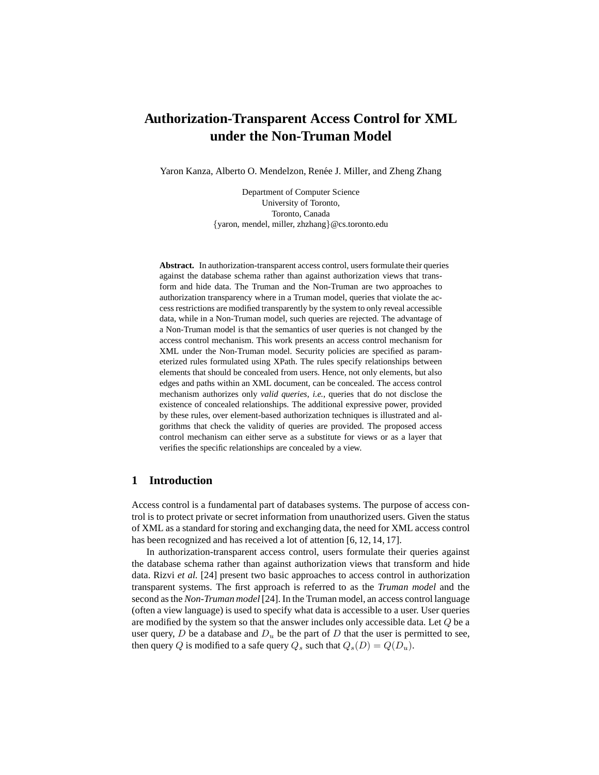# **Authorization-Transparent Access Control for XML under the Non-Truman Model**

Yaron Kanza, Alberto O. Mendelzon, Renée J. Miller, and Zheng Zhang

Department of Computer Science University of Toronto, Toronto, Canada {yaron, mendel, miller, zhzhang}@cs.toronto.edu

**Abstract.** In authorization-transparent access control, users formulate their queries against the database schema rather than against authorization views that transform and hide data. The Truman and the Non-Truman are two approaches to authorization transparency where in a Truman model, queries that violate the access restrictions are modified transparently by the system to only reveal accessible data, while in a Non-Truman model, such queries are rejected. The advantage of a Non-Truman model is that the semantics of user queries is not changed by the access control mechanism. This work presents an access control mechanism for XML under the Non-Truman model. Security policies are specified as parameterized rules formulated using XPath. The rules specify relationships between elements that should be concealed from users. Hence, not only elements, but also edges and paths within an XML document, can be concealed. The access control mechanism authorizes only *valid queries*, *i.e.*, queries that do not disclose the existence of concealed relationships. The additional expressive power, provided by these rules, over element-based authorization techniques is illustrated and algorithms that check the validity of queries are provided. The proposed access control mechanism can either serve as a substitute for views or as a layer that verifies the specific relationships are concealed by a view.

# **1 Introduction**

Access control is a fundamental part of databases systems. The purpose of access control is to protect private or secret information from unauthorized users. Given the status of XML as a standard for storing and exchanging data, the need for XML access control has been recognized and has received a lot of attention [6, 12, 14, 17].

In authorization-transparent access control, users formulate their queries against the database schema rather than against authorization views that transform and hide data. Rizvi *et al.* [24] present two basic approaches to access control in authorization transparent systems. The first approach is referred to as the *Truman model* and the second as the *Non-Truman model* [24]. In the Truman model, an access control language (often a view language) is used to specify what data is accessible to a user. User queries are modified by the system so that the answer includes only accessible data. Let Q be a user query,  $D$  be a database and  $D_u$  be the part of  $D$  that the user is permitted to see, then query Q is modified to a safe query  $Q_s$  such that  $Q_s(D) = Q(D_u)$ .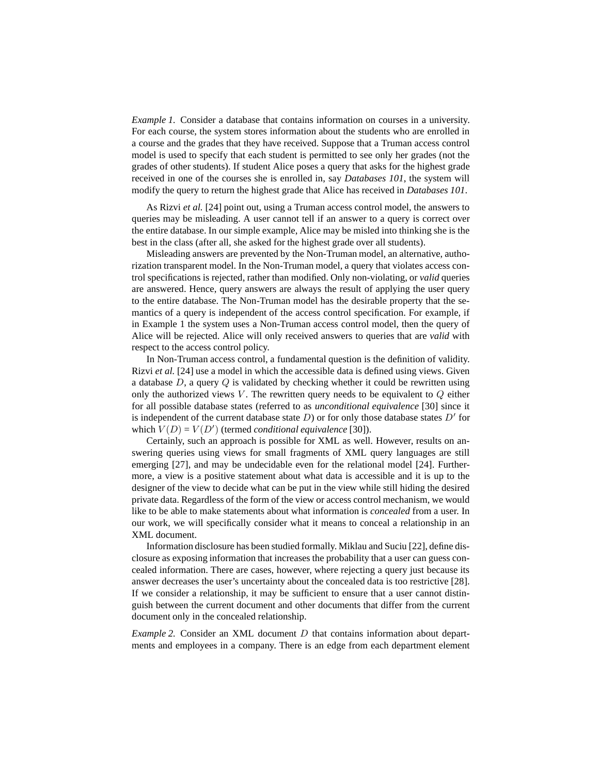*Example 1.* Consider a database that contains information on courses in a university. For each course, the system stores information about the students who are enrolled in a course and the grades that they have received. Suppose that a Truman access control model is used to specify that each student is permitted to see only her grades (not the grades of other students). If student Alice poses a query that asks for the highest grade received in one of the courses she is enrolled in, say *Databases 101*, the system will modify the query to return the highest grade that Alice has received in *Databases 101*.

As Rizvi *et al.* [24] point out, using a Truman access control model, the answers to queries may be misleading. A user cannot tell if an answer to a query is correct over the entire database. In our simple example, Alice may be misled into thinking she is the best in the class (after all, she asked for the highest grade over all students).

Misleading answers are prevented by the Non-Truman model, an alternative, authorization transparent model. In the Non-Truman model, a query that violates access control specifications is rejected, rather than modified. Only non-violating, or *valid* queries are answered. Hence, query answers are always the result of applying the user query to the entire database. The Non-Truman model has the desirable property that the semantics of a query is independent of the access control specification. For example, if in Example 1 the system uses a Non-Truman access control model, then the query of Alice will be rejected. Alice will only received answers to queries that are *valid* with respect to the access control policy.

In Non-Truman access control, a fundamental question is the definition of validity. Rizvi *et al.* [24] use a model in which the accessible data is defined using views. Given a database  $D$ , a query  $Q$  is validated by checking whether it could be rewritten using only the authorized views V. The rewritten query needs to be equivalent to  $Q$  either for all possible database states (referred to as *unconditional equivalence* [30] since it is independent of the current database state  $D$ ) or for only those database states  $D'$  for which  $V(D) = V(D')$  (termed *conditional equivalence* [30]).

Certainly, such an approach is possible for XML as well. However, results on answering queries using views for small fragments of XML query languages are still emerging [27], and may be undecidable even for the relational model [24]. Furthermore, a view is a positive statement about what data is accessible and it is up to the designer of the view to decide what can be put in the view while still hiding the desired private data. Regardless of the form of the view or access control mechanism, we would like to be able to make statements about what information is *concealed* from a user. In our work, we will specifically consider what it means to conceal a relationship in an XML document.

Information disclosure has been studied formally. Miklau and Suciu [22], define disclosure as exposing information that increases the probability that a user can guess concealed information. There are cases, however, where rejecting a query just because its answer decreases the user's uncertainty about the concealed data is too restrictive [28]. If we consider a relationship, it may be sufficient to ensure that a user cannot distinguish between the current document and other documents that differ from the current document only in the concealed relationship.

*Example* 2. Consider an XML document *D* that contains information about departments and employees in a company. There is an edge from each department element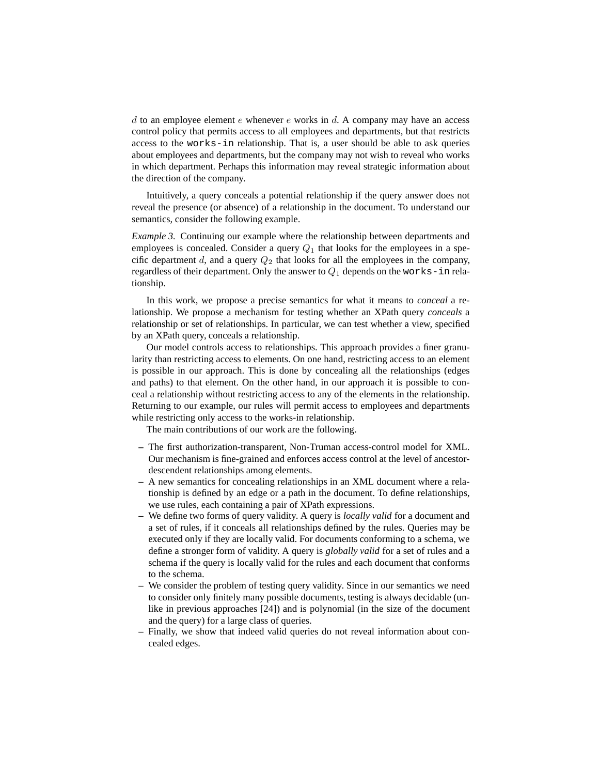d to an employee element e whenever e works in d. A company may have an access control policy that permits access to all employees and departments, but that restricts access to the works-in relationship. That is, a user should be able to ask queries about employees and departments, but the company may not wish to reveal who works in which department. Perhaps this information may reveal strategic information about the direction of the company.

Intuitively, a query conceals a potential relationship if the query answer does not reveal the presence (or absence) of a relationship in the document. To understand our semantics, consider the following example.

*Example 3.* Continuing our example where the relationship between departments and employees is concealed. Consider a query  $Q_1$  that looks for the employees in a specific department d, and a query  $Q_2$  that looks for all the employees in the company, regardless of their department. Only the answer to  $Q_1$  depends on the works-in relationship.

In this work, we propose a precise semantics for what it means to *conceal* a relationship. We propose a mechanism for testing whether an XPath query *conceals* a relationship or set of relationships. In particular, we can test whether a view, specified by an XPath query, conceals a relationship.

Our model controls access to relationships. This approach provides a finer granularity than restricting access to elements. On one hand, restricting access to an element is possible in our approach. This is done by concealing all the relationships (edges and paths) to that element. On the other hand, in our approach it is possible to conceal a relationship without restricting access to any of the elements in the relationship. Returning to our example, our rules will permit access to employees and departments while restricting only access to the works-in relationship.

The main contributions of our work are the following.

- **–** The first authorization-transparent, Non-Truman access-control model for XML. Our mechanism is fine-grained and enforces access control at the level of ancestordescendent relationships among elements.
- **–** A new semantics for concealing relationships in an XML document where a relationship is defined by an edge or a path in the document. To define relationships, we use rules, each containing a pair of XPath expressions.
- **–** We define two forms of query validity. A query is *locally valid* for a document and a set of rules, if it conceals all relationships defined by the rules. Queries may be executed only if they are locally valid. For documents conforming to a schema, we define a stronger form of validity. A query is *globally valid* for a set of rules and a schema if the query is locally valid for the rules and each document that conforms to the schema.
- **–** We consider the problem of testing query validity. Since in our semantics we need to consider only finitely many possible documents, testing is always decidable (unlike in previous approaches [24]) and is polynomial (in the size of the document and the query) for a large class of queries.
- **–** Finally, we show that indeed valid queries do not reveal information about concealed edges.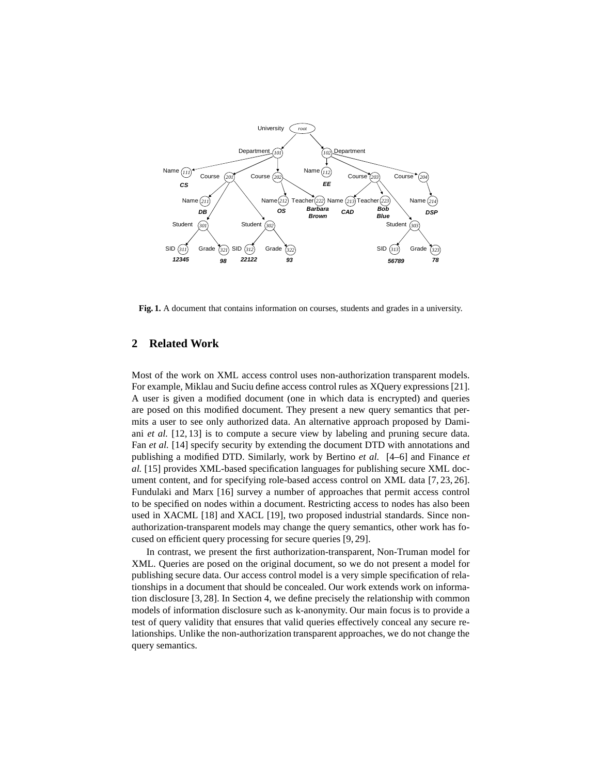

**Fig. 1.** A document that contains information on courses, students and grades in a university.

# **2 Related Work**

Most of the work on XML access control uses non-authorization transparent models. For example, Miklau and Suciu define access control rules as XQuery expressions [21]. A user is given a modified document (one in which data is encrypted) and queries are posed on this modified document. They present a new query semantics that permits a user to see only authorized data. An alternative approach proposed by Damiani *et al.* [12, 13] is to compute a secure view by labeling and pruning secure data. Fan *et al.* [14] specify security by extending the document DTD with annotations and publishing a modified DTD. Similarly, work by Bertino *et al.* [4–6] and Finance *et al.* [15] provides XML-based specification languages for publishing secure XML document content, and for specifying role-based access control on XML data [7, 23, 26]. Fundulaki and Marx [16] survey a number of approaches that permit access control to be specified on nodes within a document. Restricting access to nodes has also been used in XACML [18] and XACL [19], two proposed industrial standards. Since nonauthorization-transparent models may change the query semantics, other work has focused on efficient query processing for secure queries [9, 29].

In contrast, we present the first authorization-transparent, Non-Truman model for XML. Queries are posed on the original document, so we do not present a model for publishing secure data. Our access control model is a very simple specification of relationships in a document that should be concealed. Our work extends work on information disclosure [3, 28]. In Section 4, we define precisely the relationship with common models of information disclosure such as k-anonymity. Our main focus is to provide a test of query validity that ensures that valid queries effectively conceal any secure relationships. Unlike the non-authorization transparent approaches, we do not change the query semantics.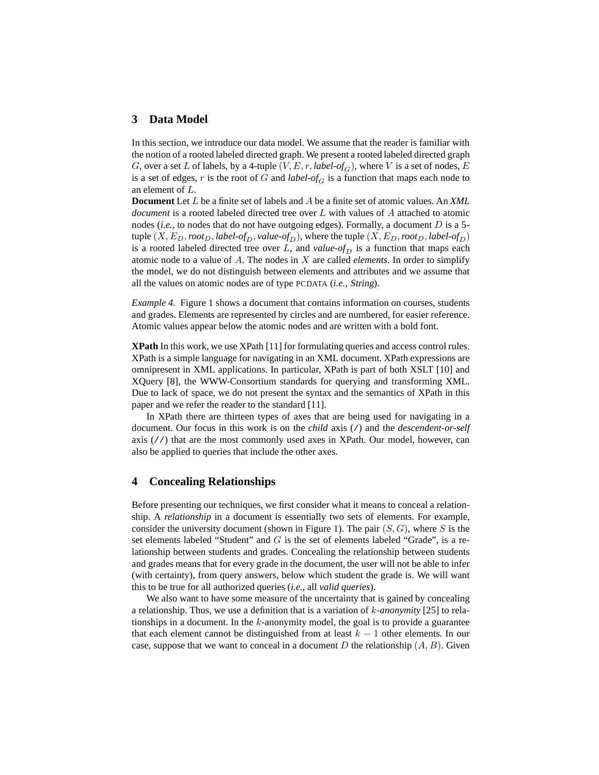# **3 Data Model**

In this section, we introduce our data model. We assume that the reader is familiar with the notion of a rooted labeled directed graph. We present a rooted labeled directed graph G, over a set L of labels, by a 4-tuple  $(V, E, r, label-of<sub>G</sub>)$ , where V is a set of nodes, E is a set of edges, r is the root of G and *label-of<sub>G</sub>* is a function that maps each node to an element of L.

**Document** Let L be a finite set of labels and A be a finite set of atomic values. An *XML document* is a rooted labeled directed tree over L with values of A attached to atomic nodes (*i.e.*, to nodes that do not have outgoing edges). Formally, a document D is a 5 tuple  $(X, E_D, root_D, label-of_D, value-of_D)$ , where the tuple  $(X, E_D, root_D, label-of_D)$ is a rooted labeled directed tree over  $L$ , and *value-of*<sub>D</sub> is a function that maps each atomic node to a value of A. The nodes in X are called *elements*. In order to simplify the model, we do not distinguish between elements and attributes and we assume that all the values on atomic nodes are of type PCDATA (*i.e.*, String).

*Example 4.* Figure 1 shows a document that contains information on courses, students and grades. Elements are represented by circles and are numbered, for easier reference. Atomic values appear below the atomic nodes and are written with a bold font.

**XPath** In this work, we use XPath [11] for formulating queries and access control rules. XPath is a simple language for navigating in an XML document. XPath expressions are omnipresent in XML applications. In particular, XPath is part of both XSLT [10] and XQuery [8], the WWW-Consortium standards for querying and transforming XML. Due to lack of space, we do not present the syntax and the semantics of XPath in this paper and we refer the reader to the standard [11].

In XPath there are thirteen types of axes that are being used for navigating in a document. Our focus in this work is on the *child* axis (/) and the *descendent-or-self* axis  $\left(\frac{7}{7}\right)$  that are the most commonly used axes in XPath. Our model, however, can also be applied to queries that include the other axes.

#### **4 Concealing Relationships**

Before presenting our techniques, we first consider what it means to conceal a relationship. A *relationship* in a document is essentially two sets of elements. For example, consider the university document (shown in Figure 1). The pair  $(S, G)$ , where S is the set elements labeled "Student" and  $G$  is the set of elements labeled "Grade", is a relationship between students and grades. Concealing the relationship between students and grades means that for every grade in the document, the user will not be able to infer (with certainty), from query answers, below which student the grade is. We will want this to be true for all authorized queries (*i.e.*, all *valid queries*).

We also want to have some measure of the uncertainty that is gained by concealing a relationship. Thus, we use a definition that is a variation of k*-anonymity* [25] to relationships in a document. In the  $k$ -anonymity model, the goal is to provide a guarantee that each element cannot be distinguished from at least  $k - 1$  other elements. In our case, suppose that we want to conceal in a document D the relationship  $(A, B)$ . Given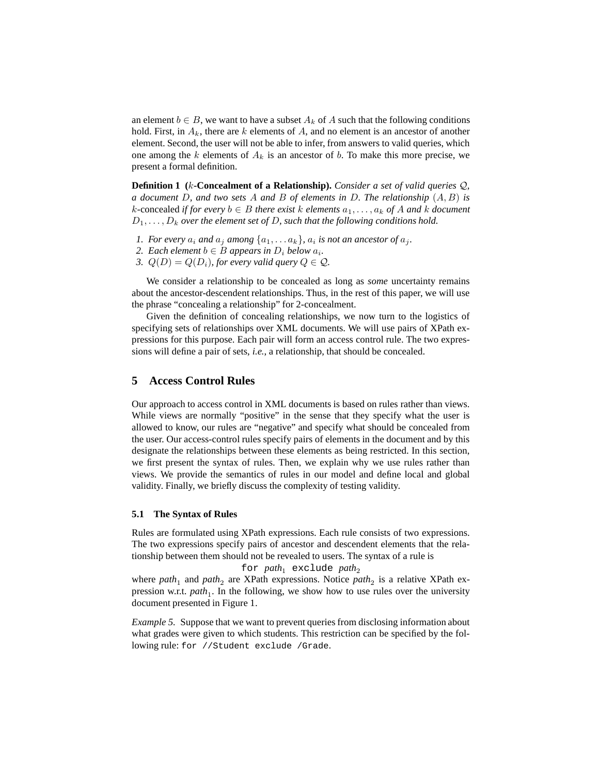an element  $b \in B$ , we want to have a subset  $A_k$  of A such that the following conditions hold. First, in  $A_k$ , there are k elements of A, and no element is an ancestor of another element. Second, the user will not be able to infer, from answers to valid queries, which one among the k elements of  $A_k$  is an ancestor of b. To make this more precise, we present a formal definition.

**Definition 1 (**k**-Concealment of a Relationship).** *Consider a set of valid queries* Q*, a document* D*, and two sets* A *and* B *of elements in* D*. The relationship* (A, B) *is*  $k$ -concealed *if for every*  $b$  ∈ *B there exist*  $k$  *elements*  $a_1, \ldots, a_k$  *of*  $A$  *and*  $k$  *document*  $D_1, \ldots, D_k$  *over the element set of D, such that the following conditions hold.* 

- *1. For every*  $a_i$  *and*  $a_j$  *among*  $\{a_1, \ldots a_k\}$ *,*  $a_i$  *is not an ancestor of*  $a_j$ *.*
- 2. *Each element*  $b \in B$  *appears in*  $D_i$  *below*  $a_i$ *.*
- *3.*  $Q(D) = Q(D_i)$ , for every valid query  $Q \in \mathcal{Q}$ .

We consider a relationship to be concealed as long as *some* uncertainty remains about the ancestor-descendent relationships. Thus, in the rest of this paper, we will use the phrase "concealing a relationship" for 2-concealment.

Given the definition of concealing relationships, we now turn to the logistics of specifying sets of relationships over XML documents. We will use pairs of XPath expressions for this purpose. Each pair will form an access control rule. The two expressions will define a pair of sets, *i.e.*, a relationship, that should be concealed.

#### **5 Access Control Rules**

Our approach to access control in XML documents is based on rules rather than views. While views are normally "positive" in the sense that they specify what the user is allowed to know, our rules are "negative" and specify what should be concealed from the user. Our access-control rules specify pairs of elements in the document and by this designate the relationships between these elements as being restricted. In this section, we first present the syntax of rules. Then, we explain why we use rules rather than views. We provide the semantics of rules in our model and define local and global validity. Finally, we briefly discuss the complexity of testing validity.

#### **5.1 The Syntax of Rules**

Rules are formulated using XPath expressions. Each rule consists of two expressions. The two expressions specify pairs of ancestor and descendent elements that the relationship between them should not be revealed to users. The syntax of a rule is

#### for  $path_1$  exclude  $path_2$

where *path*<sub>1</sub> and *path*<sub>2</sub> are XPath expressions. Notice *path*<sub>2</sub> is a relative XPath expression w.r.t. *path*<sub>1</sub>. In the following, we show how to use rules over the university document presented in Figure 1.

*Example 5.* Suppose that we want to prevent queries from disclosing information about what grades were given to which students. This restriction can be specified by the following rule: for //Student exclude /Grade.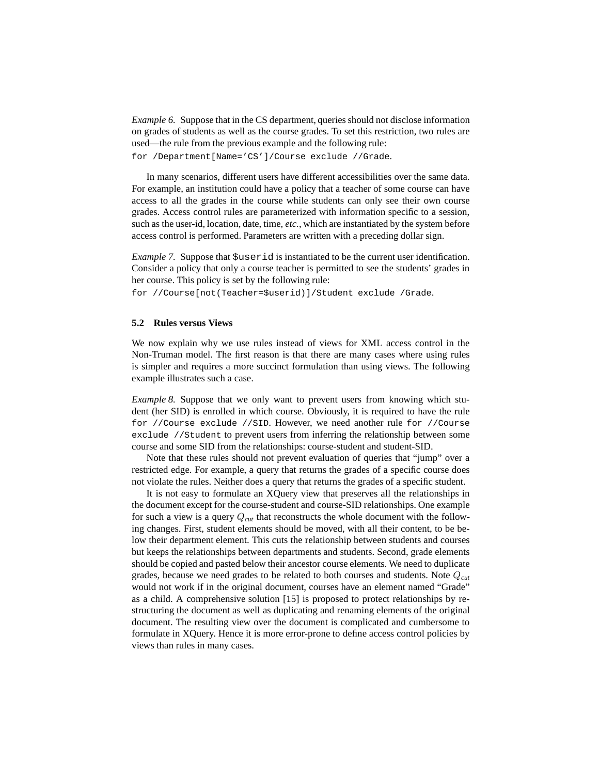*Example 6.* Suppose that in the CS department, queries should not disclose information on grades of students as well as the course grades. To set this restriction, two rules are used—the rule from the previous example and the following rule:

for /Department[Name='CS']/Course exclude //Grade.

In many scenarios, different users have different accessibilities over the same data. For example, an institution could have a policy that a teacher of some course can have access to all the grades in the course while students can only see their own course grades. Access control rules are parameterized with information specific to a session, such as the user-id, location, date, time, *etc.*, which are instantiated by the system before access control is performed. Parameters are written with a preceding dollar sign.

*Example* 7. Suppose that  $\$$ userid is instantiated to be the current user identification. Consider a policy that only a course teacher is permitted to see the students' grades in her course. This policy is set by the following rule:

for //Course[not(Teacher=\$userid)]/Student exclude /Grade.

#### **5.2 Rules versus Views**

We now explain why we use rules instead of views for XML access control in the Non-Truman model. The first reason is that there are many cases where using rules is simpler and requires a more succinct formulation than using views. The following example illustrates such a case.

*Example 8.* Suppose that we only want to prevent users from knowing which student (her SID) is enrolled in which course. Obviously, it is required to have the rule for //Course exclude //SID. However, we need another rule for //Course exclude //Student to prevent users from inferring the relationship between some course and some SID from the relationships: course-student and student-SID.

Note that these rules should not prevent evaluation of queries that "jump" over a restricted edge. For example, a query that returns the grades of a specific course does not violate the rules. Neither does a query that returns the grades of a specific student.

It is not easy to formulate an XQuery view that preserves all the relationships in the document except for the course-student and course-SID relationships. One example for such a view is a query Q*cut* that reconstructs the whole document with the following changes. First, student elements should be moved, with all their content, to be below their department element. This cuts the relationship between students and courses but keeps the relationships between departments and students. Second, grade elements should be copied and pasted below their ancestor course elements. We need to duplicate grades, because we need grades to be related to both courses and students. Note Q*cut* would not work if in the original document, courses have an element named "Grade" as a child. A comprehensive solution [15] is proposed to protect relationships by restructuring the document as well as duplicating and renaming elements of the original document. The resulting view over the document is complicated and cumbersome to formulate in XQuery. Hence it is more error-prone to define access control policies by views than rules in many cases.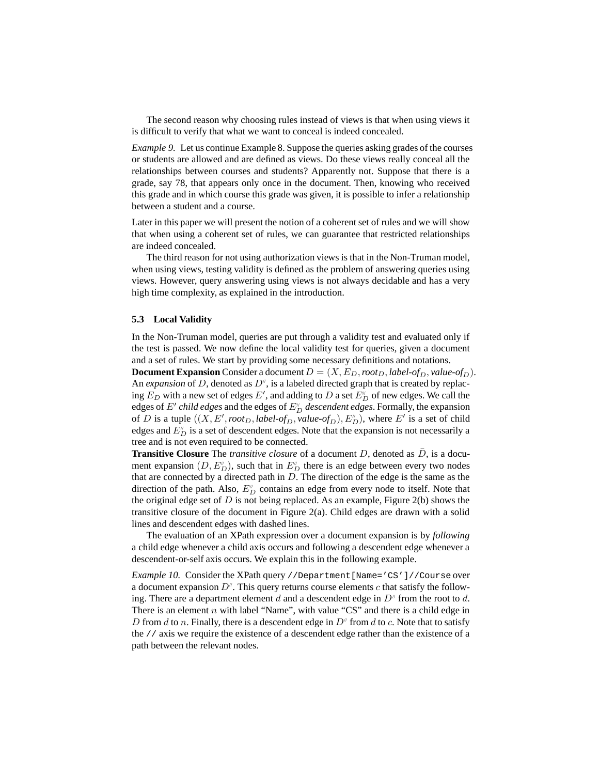The second reason why choosing rules instead of views is that when using views it is difficult to verify that what we want to conceal is indeed concealed.

*Example 9.* Let us continue Example 8. Suppose the queries asking grades of the courses or students are allowed and are defined as views. Do these views really conceal all the relationships between courses and students? Apparently not. Suppose that there is a grade, say 78, that appears only once in the document. Then, knowing who received this grade and in which course this grade was given, it is possible to infer a relationship between a student and a course.

Later in this paper we will present the notion of a coherent set of rules and we will show that when using a coherent set of rules, we can guarantee that restricted relationships are indeed concealed.

The third reason for not using authorization views is that in the Non-Truman model, when using views, testing validity is defined as the problem of answering queries using views. However, query answering using views is not always decidable and has a very high time complexity, as explained in the introduction.

#### **5.3 Local Validity**

In the Non-Truman model, queries are put through a validity test and evaluated only if the test is passed. We now define the local validity test for queries, given a document and a set of rules. We start by providing some necessary definitions and notations.

**Document Expansion** Consider a document  $D = (X, E_D, root_D, label-of_D, value-of_D)$ . An *expansion* of D, denoted as  $D^{\prime\prime}$ , is a labeled directed graph that is created by replacing  $E_D$  with a new set of edges E', and adding to D a set  $E_D^{\prime\prime}$  of new edges. We call the edges of  $E'$  *child edges* and the edges of  $E''_D$  *descendent edges*. Formally, the expansion of D is a tuple  $((X, E', root_D, label-of_D, value-of_D), E''_D)$ , where E' is a set of child edges and  $E_{D}^{\prime\prime}$  is a set of descendent edges. Note that the expansion is not necessarily a tree and is not even required to be connected.

**Transitive Closure** The *transitive closure* of a document  $D$ , denoted as  $D$ , is a document expansion  $(D, E_D^{\prime\prime})$ , such that in  $E_D^{\prime\prime}$  there is an edge between every two nodes that are connected by a directed path in  $D$ . The direction of the edge is the same as the direction of the path. Also,  $E_D^{\prime\prime}$  contains an edge from every node to itself. Note that the original edge set of  $D$  is not being replaced. As an example, Figure 2(b) shows the transitive closure of the document in Figure 2(a). Child edges are drawn with a solid lines and descendent edges with dashed lines.

The evaluation of an XPath expression over a document expansion is by *following* a child edge whenever a child axis occurs and following a descendent edge whenever a descendent-or-self axis occurs. We explain this in the following example.

*Example 10.* Consider the XPath query //Department[Name='CS']//Course over a document expansion  $D^{\prime\prime}$ . This query returns course elements c that satisfy the following. There are a department element d and a descendent edge in  $D^{\prime\prime}$  from the root to d. There is an element  $n$  with label "Name", with value "CS" and there is a child edge in D from d to n. Finally, there is a descendent edge in  $D^{\prime\prime}$  from d to c. Note that to satisfy the // axis we require the existence of a descendent edge rather than the existence of a path between the relevant nodes.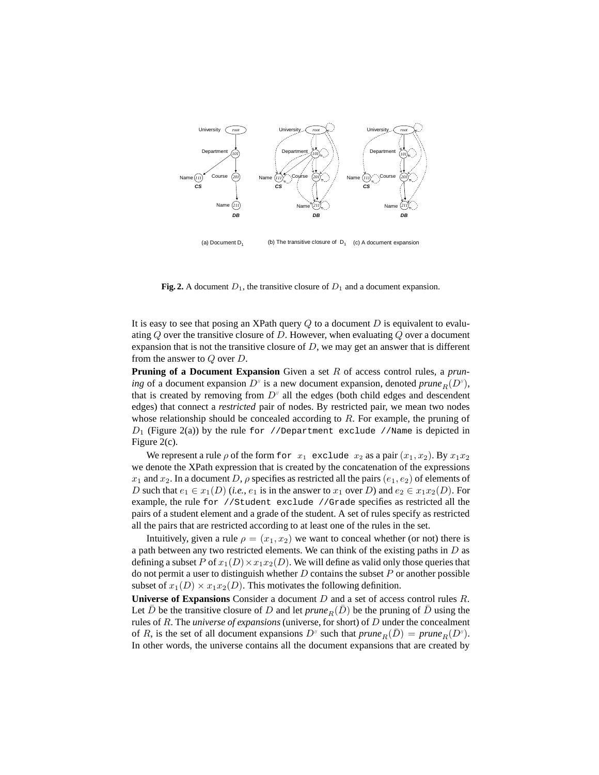

**Fig. 2.** A document  $D_1$ , the transitive closure of  $D_1$  and a document expansion.

It is easy to see that posing an XPath query  $Q$  to a document  $D$  is equivalent to evaluating  $Q$  over the transitive closure of  $D$ . However, when evaluating  $Q$  over a document expansion that is not the transitive closure of  $D$ , we may get an answer that is different from the answer to Q over D.

**Pruning of a Document Expansion** Given a set R of access control rules, a *pruning* of a document expansion  $D^{\prime\prime}$  is a new document expansion, denoted *prune*<sub>R</sub> $(D^{\prime\prime})$ , that is created by removing from  $D^{\prime\prime}$  all the edges (both child edges and descendent edges) that connect a *restricted* pair of nodes. By restricted pair, we mean two nodes whose relationship should be concealed according to  $R$ . For example, the pruning of  $D_1$  (Figure 2(a)) by the rule for //Department exclude //Name is depicted in Figure 2(c).

We represent a rule  $\rho$  of the form for  $x_1$  exclude  $x_2$  as a pair  $(x_1, x_2)$ . By  $x_1x_2$ we denote the XPath expression that is created by the concatenation of the expressions  $x_1$  and  $x_2$ . In a document D,  $\rho$  specifies as restricted all the pairs  $(e_1, e_2)$  of elements of D such that  $e_1 \in x_1(D)$  (*i.e.*,  $e_1$  is in the answer to  $x_1$  over D) and  $e_2 \in x_1x_2(D)$ . For example, the rule for //Student exclude //Grade specifies as restricted all the pairs of a student element and a grade of the student. A set of rules specify as restricted all the pairs that are restricted according to at least one of the rules in the set.

Intuitively, given a rule  $\rho = (x_1, x_2)$  we want to conceal whether (or not) there is a path between any two restricted elements. We can think of the existing paths in  $D$  as defining a subset P of  $x_1(D) \times x_1x_2(D)$ . We will define as valid only those queries that do not permit a user to distinguish whether  $D$  contains the subset  $P$  or another possible subset of  $x_1(D) \times x_1x_2(D)$ . This motivates the following definition.

**Universe of Expansions** Consider a document D and a set of access control rules R. Let D be the transitive closure of D and let  $prune_R(D)$  be the pruning of D using the rules of R. The *universe of expansions* (universe, for short) of D under the concealment of R, is the set of all document expansions  $D^{\prime\prime}$  such that  $prune_R(\overline{D}) = prune_R(D^{\prime\prime})$ . In other words, the universe contains all the document expansions that are created by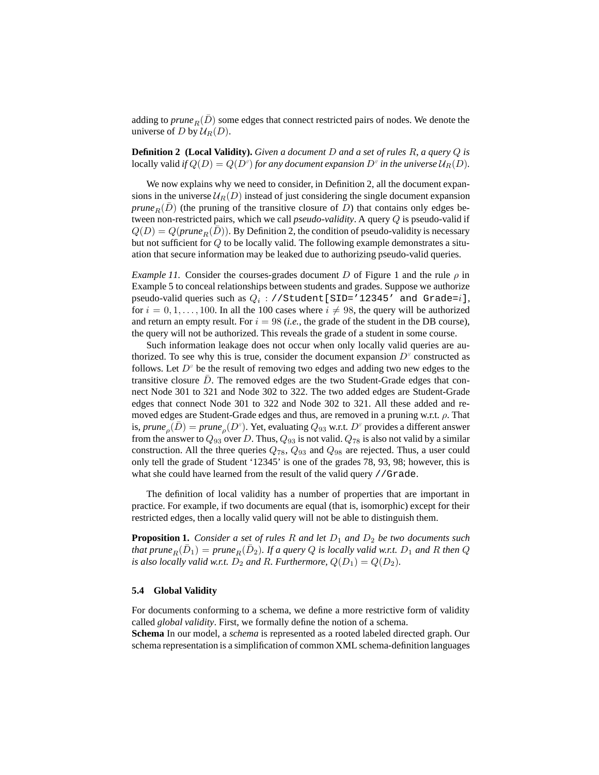adding to *prune*<sub>R</sub> $(D)$  some edges that connect restricted pairs of nodes. We denote the universe of D by  $\mathcal{U}_R(D)$ .

**Definition 2 (Local Validity).** *Given a document* D *and a set of rules* R*, a query* Q *is* locally valid *if*  $Q(D) = Q(D'')$  *for any document expansion*  $D'$  *in the universe*  $U_R(D)$ *.* 

We now explains why we need to consider, in Definition 2, all the document expansions in the universe  $U_R(D)$  instead of just considering the single document expansion *prune*<sub>R</sub> $(D)$  (the pruning of the transitive closure of D) that contains only edges between non-restricted pairs, which we call *pseudo-validity*. A query Q is pseudo-valid if  $Q(D) = Q(prune<sub>R</sub>(\bar{D}))$ . By Definition 2, the condition of pseudo-validity is necessary but not sufficient for Q to be locally valid. The following example demonstrates a situation that secure information may be leaked due to authorizing pseudo-valid queries.

*Example 11.* Consider the courses-grades document D of Figure 1 and the rule  $\rho$  in Example 5 to conceal relationships between students and grades. Suppose we authorize pseudo-valid queries such as  $Q_i$  : //Student[SID='12345' and Grade= $i$ ], for  $i = 0, 1, \ldots, 100$ . In all the 100 cases where  $i \neq 98$ , the query will be authorized and return an empty result. For  $i = 98$  (*i.e.*, the grade of the student in the DB course), the query will not be authorized. This reveals the grade of a student in some course.

Such information leakage does not occur when only locally valid queries are authorized. To see why this is true, consider the document expansion  $D^{\prime\prime}$  constructed as follows. Let  $D^{\prime\prime}$  be the result of removing two edges and adding two new edges to the transitive closure  $D$ . The removed edges are the two Student-Grade edges that connect Node 301 to 321 and Node 302 to 322. The two added edges are Student-Grade edges that connect Node 301 to 322 and Node 302 to 321. All these added and removed edges are Student-Grade edges and thus, are removed in a pruning w.r.t.  $\rho$ . That is, *prune*<sub>ρ</sub>( $\bar{D}$ ) = *prune*<sub>ρ</sub>( $D^{\nu}$ ). Yet, evaluating  $Q_{93}$  w.r.t.  $D^{\nu}$  provides a different answer from the answer to  $Q_{93}$  over D. Thus,  $Q_{93}$  is not valid.  $Q_{78}$  is also not valid by a similar construction. All the three queries  $Q_{78}$ ,  $Q_{93}$  and  $Q_{98}$  are rejected. Thus, a user could only tell the grade of Student '12345' is one of the grades 78, 93, 98; however, this is what she could have learned from the result of the valid query //Grade.

The definition of local validity has a number of properties that are important in practice. For example, if two documents are equal (that is, isomorphic) except for their restricted edges, then a locally valid query will not be able to distinguish them.

**Proposition 1.** *Consider a set of rules*  $R$  *and let*  $D_1$  *and*  $D_2$  *be two documents such*  $_1$  *that*  $_2$  *prune*<sub> $_1$ </sub>( $\bar{D}_1$ ) =  $_2$  *prune*<sub> $_R$ </sub>( $\bar{D}_2$ ). If a query Q is locally valid w.r.t.  $D_1$  and R then Q *is* also locally valid *w.r.t.*  $D_2$  *and* R. *Furthermore*,  $Q(D_1) = Q(D_2)$ *.* 

#### **5.4 Global Validity**

For documents conforming to a schema, we define a more restrictive form of validity called *global validity*. First, we formally define the notion of a schema.

**Schema** In our model, a *schema* is represented as a rooted labeled directed graph. Our schema representation is a simplification of common XML schema-definition languages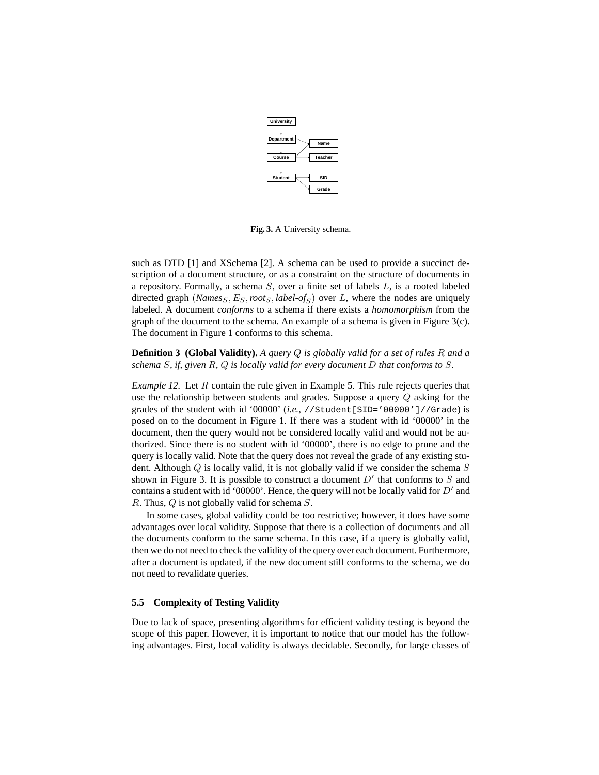

**Fig. 3.** A University schema.

such as DTD [1] and XSchema [2]. A schema can be used to provide a succinct description of a document structure, or as a constraint on the structure of documents in a repository. Formally, a schema  $S$ , over a finite set of labels  $L$ , is a rooted labeled directed graph  $(Names_S, E_S, root_S, label-of_S)$  over L, where the nodes are uniquely labeled. A document *conforms* to a schema if there exists a *homomorphism* from the graph of the document to the schema. An example of a schema is given in Figure 3(c). The document in Figure 1 conforms to this schema.

**Definition 3 (Global Validity).** *A query* Q *is globally valid for a set of rules* R *and a schema* S*, if, given* R*,* Q *is locally valid for every document* D *that conforms to* S*.*

*Example 12.* Let R contain the rule given in Example 5. This rule rejects queries that use the relationship between students and grades. Suppose a query  $Q$  asking for the grades of the student with id '00000' (*i.e.*, //Student[SID='00000']//Grade) is posed on to the document in Figure 1. If there was a student with id '00000' in the document, then the query would not be considered locally valid and would not be authorized. Since there is no student with id '00000', there is no edge to prune and the query is locally valid. Note that the query does not reveal the grade of any existing student. Although  $Q$  is locally valid, it is not globally valid if we consider the schema  $S$ shown in Figure 3. It is possible to construct a document  $D'$  that conforms to  $S$  and contains a student with id '00000'. Hence, the query will not be locally valid for  $D'$  and R. Thus, Q is not globally valid for schema S.

In some cases, global validity could be too restrictive; however, it does have some advantages over local validity. Suppose that there is a collection of documents and all the documents conform to the same schema. In this case, if a query is globally valid, then we do not need to check the validity of the query over each document. Furthermore, after a document is updated, if the new document still conforms to the schema, we do not need to revalidate queries.

#### **5.5 Complexity of Testing Validity**

Due to lack of space, presenting algorithms for efficient validity testing is beyond the scope of this paper. However, it is important to notice that our model has the following advantages. First, local validity is always decidable. Secondly, for large classes of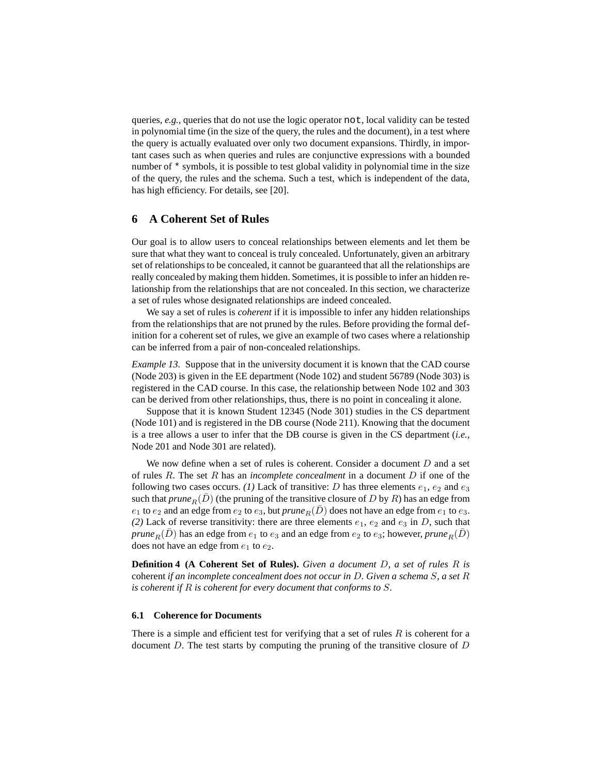queries, *e.g.*, queries that do not use the logic operator not, local validity can be tested in polynomial time (in the size of the query, the rules and the document), in a test where the query is actually evaluated over only two document expansions. Thirdly, in important cases such as when queries and rules are conjunctive expressions with a bounded number of \* symbols, it is possible to test global validity in polynomial time in the size of the query, the rules and the schema. Such a test, which is independent of the data, has high efficiency. For details, see [20].

#### **6 A Coherent Set of Rules**

Our goal is to allow users to conceal relationships between elements and let them be sure that what they want to conceal is truly concealed. Unfortunately, given an arbitrary set of relationships to be concealed, it cannot be guaranteed that all the relationships are really concealed by making them hidden. Sometimes, it is possible to infer an hidden relationship from the relationships that are not concealed. In this section, we characterize a set of rules whose designated relationships are indeed concealed.

We say a set of rules is *coherent* if it is impossible to infer any hidden relationships from the relationships that are not pruned by the rules. Before providing the formal definition for a coherent set of rules, we give an example of two cases where a relationship can be inferred from a pair of non-concealed relationships.

*Example 13.* Suppose that in the university document it is known that the CAD course (Node 203) is given in the EE department (Node 102) and student 56789 (Node 303) is registered in the CAD course. In this case, the relationship between Node 102 and 303 can be derived from other relationships, thus, there is no point in concealing it alone.

Suppose that it is known Student 12345 (Node 301) studies in the CS department (Node 101) and is registered in the DB course (Node 211). Knowing that the document is a tree allows a user to infer that the DB course is given in the CS department (*i.e.*, Node 201 and Node 301 are related).

We now define when a set of rules is coherent. Consider a document  $D$  and a set of rules R. The set R has an *incomplete concealment* in a document D if one of the following two cases occurs. *(1)* Lack of transitive: *D* has three elements  $e_1$ ,  $e_2$  and  $e_3$ such that *prune*<sub>R</sub> $(D)$  (the pruning of the transitive closure of D by R) has an edge from  $e_1$  to  $e_2$  and an edge from  $e_2$  to  $e_3$ , but *prune*<sub>R</sub>( $\overline{D}$ ) does not have an edge from  $e_1$  to  $e_3$ . (2) Lack of reverse transitivity: there are three elements  $e_1$ ,  $e_2$  and  $e_3$  in D, such that *prune*<sub>R</sub> $(\bar{D})$  has an edge from  $e_1$  to  $e_3$  and an edge from  $e_2$  to  $e_3$ ; however, *prune*<sub>R</sub> $(D)$ does not have an edge from  $e_1$  to  $e_2$ .

**Definition 4 (A Coherent Set of Rules).** *Given a document* D*, a set of rules* R *is* coherent *if an incomplete concealment does not occur in* D*. Given a schema* S*, a set* R *is coherent if* R *is coherent for every document that conforms to* S*.*

#### **6.1 Coherence for Documents**

There is a simple and efficient test for verifying that a set of rules  $R$  is coherent for a document  $D$ . The test starts by computing the pruning of the transitive closure of  $D$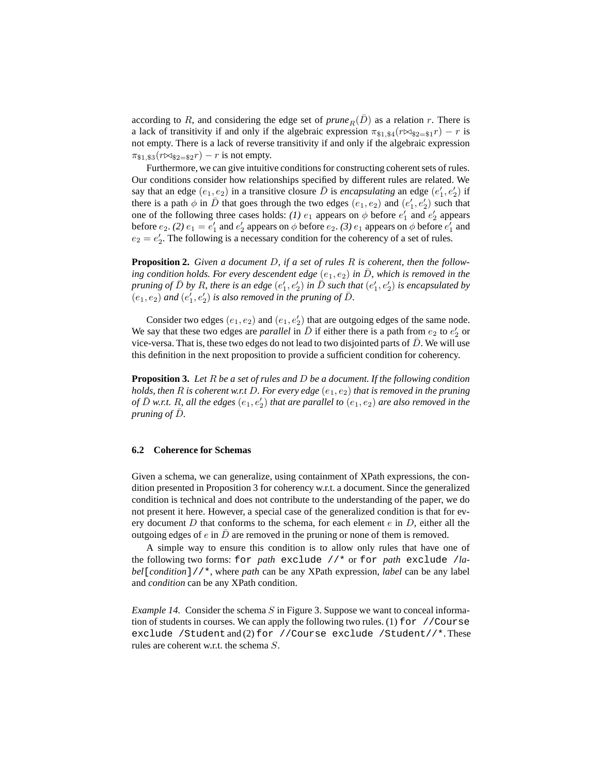according to R, and considering the edge set of  $prune<sub>B</sub>(D)$  as a relation r. There is a lack of transitivity if and only if the algebraic expression  $\pi_{\$1,\$4}(r \rtimes_{\$2=\$1}r) - r$  is not empty. There is a lack of reverse transitivity if and only if the algebraic expression  $\pi_{\$1,\$3}(r \bowtie_{\$2=\$2} r) - r$  is not empty.

Furthermore, we can give intuitive conditions for constructing coherent sets of rules. Our conditions consider how relationships specified by different rules are related. We say that an edge  $(e_1, e_2)$  in a transitive closure  $\overline{D}$  is *encapsulating* an edge  $(e'_1, e'_2)$  if there is a path  $\phi$  in  $\bar{D}$  that goes through the two edges  $(e_1, e_2)$  and  $(e'_1, e'_2)$  such that one of the following three cases holds: *(1)*  $e_1$  appears on  $\phi$  before  $e'_1$  and  $e'_2$  appears before  $e_2$ . *(2)*  $e_1 = e'_1$  and  $e'_2$  appears on  $\phi$  before  $e_2$ . *(3)*  $e_1$  appears on  $\phi$  before  $e'_1$  and  $e_2 = e'_2$ . The following is a necessary condition for the coherency of a set of rules.

**Proposition 2.** *Given a document* D*, if a set of rules* R *is coherent, then the following condition holds. For every descendent edge*  $(e_1, e_2)$  *in*  $\overline{D}$ *, which is removed in the pruning* of  $\bar{D}$  by R, there is an edge  $(e'_1, e'_2)$  in  $\bar{\bar{D}}$  such that  $(e'_1, e'_2)$  is encapsulated by  $\overline{e}(e_1, e_2)$  *and*  $\overline{e}'_1, e'_2$  *is also removed in the pruning of D.* 

Consider two edges  $(e_1, e_2)$  and  $(e_1, e_2')$  that are outgoing edges of the same node. We say that these two edges are *parallel* in  $\overline{D}$  if either there is a path from  $e_2$  to  $e'_2$  or vice-versa. That is, these two edges do not lead to two disjointed parts of  $\bar{D}$ . We will use this definition in the next proposition to provide a sufficient condition for coherency.

**Proposition 3.** *Let* R *be a set of rules and* D *be a document. If the following condition holds, then*  $R$  *is coherent*  $w.r.t D$ *. For every edge*  $(e_1, e_2)$  *that is removed in the pruning of*  $\overline{D}$  *w.r.t.* R, all the edges  $(e_1, e'_2)$  that are parallel to  $(e_1, e_2)$  are also removed in the *pruning of*  $\overline{D}$ *.* 

#### **6.2 Coherence for Schemas**

Given a schema, we can generalize, using containment of XPath expressions, the condition presented in Proposition 3 for coherency w.r.t. a document. Since the generalized condition is technical and does not contribute to the understanding of the paper, we do not present it here. However, a special case of the generalized condition is that for every document  $D$  that conforms to the schema, for each element  $e$  in  $D$ , either all the outgoing edges of e in  $\bar{D}$  are removed in the pruning or none of them is removed.

A simple way to ensure this condition is to allow only rules that have one of the following two forms: for *path* exclude //\* or for *path* exclude /*label*[*condition*]//\*, where *path* can be any XPath expression, *label* can be any label and *condition* can be any XPath condition.

*Example 14.* Consider the schema S in Figure 3. Suppose we want to conceal information of students in courses. We can apply the following two rules. (1)  $f$ or //Course exclude /Student and (2) for //Course exclude /Student//\*. These rules are coherent w.r.t. the schema S.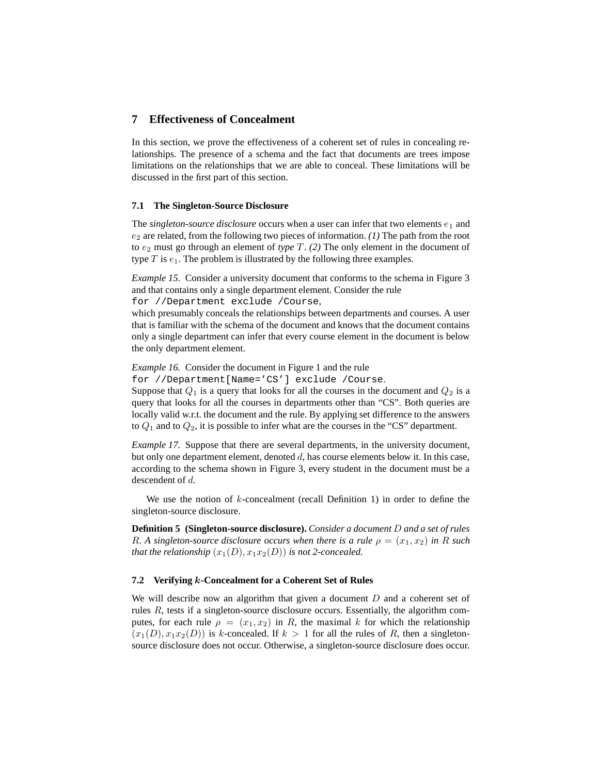# **7 Effectiveness of Concealment**

In this section, we prove the effectiveness of a coherent set of rules in concealing relationships. The presence of a schema and the fact that documents are trees impose limitations on the relationships that we are able to conceal. These limitations will be discussed in the first part of this section.

#### **7.1 The Singleton-Source Disclosure**

The *singleton-source* disclosure occurs when a user can infer that two elements  $e_1$  and  $e_2$  are related, from the following two pieces of information.  $(1)$  The path from the root to  $e_2$  must go through an element of *type*  $T$ . (2) The only element in the document of type  $T$  is  $e_1$ . The problem is illustrated by the following three examples.

*Example 15.* Consider a university document that conforms to the schema in Figure 3 and that contains only a single department element. Consider the rule for //Department exclude /Course,

which presumably conceals the relationships between departments and courses. A user that is familiar with the schema of the document and knows that the document contains only a single department can infer that every course element in the document is below the only department element.

*Example 16.* Consider the document in Figure 1 and the rule

for //Department[Name='CS'] exclude /Course.

Suppose that  $Q_1$  is a query that looks for all the courses in the document and  $Q_2$  is a query that looks for all the courses in departments other than "CS". Both queries are locally valid w.r.t. the document and the rule. By applying set difference to the answers to  $Q_1$  and to  $Q_2$ , it is possible to infer what are the courses in the "CS" department.

*Example 17.* Suppose that there are several departments, in the university document, but only one department element, denoted d, has course elements below it. In this case, according to the schema shown in Figure 3, every student in the document must be a descendent of d.

We use the notion of  $k$ -concealment (recall Definition 1) in order to define the singleton-source disclosure.

**Definition 5 (Singleton-source disclosure).** *Consider a document* D *and a set of rules R.* A singleton-source disclosure occurs when there is a rule  $\rho = (x_1, x_2)$  in R such *that the relationship*  $(x_1(D), x_1x_2(D))$  *is not 2-concealed.* 

#### **7.2 Verifying** k**-Concealment for a Coherent Set of Rules**

We will describe now an algorithm that given a document  $D$  and a coherent set of rules  $R$ , tests if a singleton-source disclosure occurs. Essentially, the algorithm computes, for each rule  $\rho = (x_1, x_2)$  in R, the maximal k for which the relationship  $(x_1(D), x_1x_2(D))$  is k-concealed. If  $k > 1$  for all the rules of R, then a singletonsource disclosure does not occur. Otherwise, a singleton-source disclosure does occur.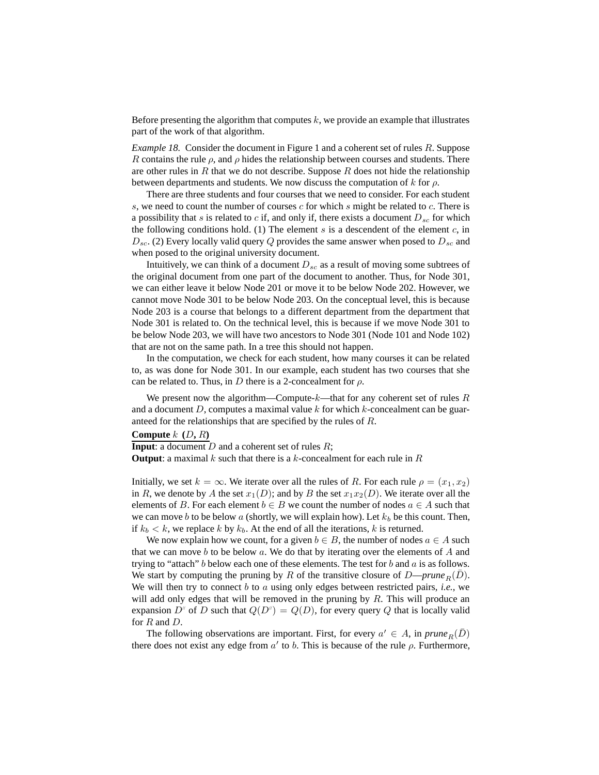Before presenting the algorithm that computes  $k$ , we provide an example that illustrates part of the work of that algorithm.

*Example 18.* Consider the document in Figure 1 and a coherent set of rules R. Suppose R contains the rule  $\rho$ , and  $\rho$  hides the relationship between courses and students. There are other rules in  $R$  that we do not describe. Suppose  $R$  does not hide the relationship between departments and students. We now discuss the computation of k for  $\rho$ .

There are three students and four courses that we need to consider. For each student s, we need to count the number of courses c for which s might be related to c. There is a possibility that s is related to c if, and only if, there exists a document  $D_{sc}$  for which the following conditions hold. (1) The element s is a descendent of the element  $c$ , in  $D_{sc}$ . (2) Every locally valid query Q provides the same answer when posed to  $D_{sc}$  and when posed to the original university document.

Intuitively, we can think of a document  $D_{sc}$  as a result of moving some subtrees of the original document from one part of the document to another. Thus, for Node 301, we can either leave it below Node 201 or move it to be below Node 202. However, we cannot move Node 301 to be below Node 203. On the conceptual level, this is because Node 203 is a course that belongs to a different department from the department that Node 301 is related to. On the technical level, this is because if we move Node 301 to be below Node 203, we will have two ancestors to Node 301 (Node 101 and Node 102) that are not on the same path. In a tree this should not happen.

In the computation, we check for each student, how many courses it can be related to, as was done for Node 301. In our example, each student has two courses that she can be related to. Thus, in D there is a 2-concealment for  $\rho$ .

We present now the algorithm—Compute- $k$ —that for any coherent set of rules  $R$ and a document  $D$ , computes a maximal value  $k$  for which  $k$ -concealment can be guaranteed for the relationships that are specified by the rules of R.

#### **Compute**  $k$   $(D, R)$

**Input**: a document  $D$  and a coherent set of rules  $R$ ; **Output**: a maximal  $k$  such that there is a  $k$ -concealment for each rule in  $R$ 

Initially, we set  $k = \infty$ . We iterate over all the rules of R. For each rule  $\rho = (x_1, x_2)$ in R, we denote by A the set  $x_1(D)$ ; and by B the set  $x_1x_2(D)$ . We iterate over all the elements of B. For each element  $b \in B$  we count the number of nodes  $a \in A$  such that we can move b to be below a (shortly, we will explain how). Let  $k_b$  be this count. Then, if  $k_b < k$ , we replace k by  $k_b$ . At the end of all the iterations, k is returned.

We now explain how we count, for a given  $b \in B$ , the number of nodes  $a \in A$  such that we can move b to be below a. We do that by iterating over the elements of  $A$  and trying to "attach" b below each one of these elements. The test for b and  $a$  is as follows. We start by computing the pruning by R of the transitive closure of  $D\text{-}prune_R(D)$ . We will then try to connect b to a using only edges between restricted pairs, *i.e.*, we will add only edges that will be removed in the pruning by  $R$ . This will produce an expansion  $D^{\prime\prime}$  of D such that  $Q(D^{\prime\prime}) = Q(D)$ , for every query Q that is locally valid for R and D.

The following observations are important. First, for every  $a' \in A$ , in  $\text{prune}_R(\bar{D})$ there does not exist any edge from  $a'$  to b. This is because of the rule  $\rho$ . Furthermore,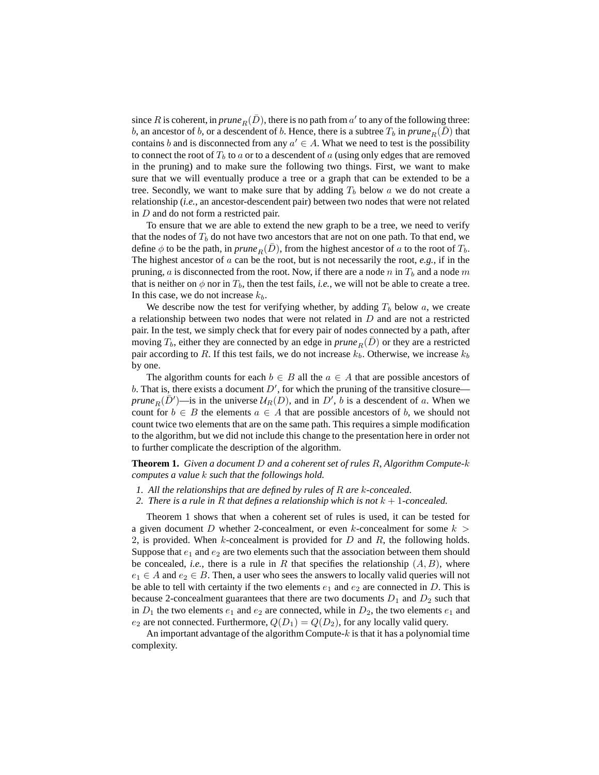since R is coherent, in  $\text{prune}_R(\bar{D})$ , there is no path from  $a'$  to any of the following three: b, an ancestor of b, or a descendent of b. Hence, there is a subtree  $T_b$  in  $\text{prune}_R(\overline{D})$  that contains b and is disconnected from any  $a' \in A$ . What we need to test is the possibility to connect the root of  $T_b$  to a or to a descendent of a (using only edges that are removed in the pruning) and to make sure the following two things. First, we want to make sure that we will eventually produce a tree or a graph that can be extended to be a tree. Secondly, we want to make sure that by adding  $T_b$  below a we do not create a relationship (*i.e.*, an ancestor-descendent pair) between two nodes that were not related in D and do not form a restricted pair.

To ensure that we are able to extend the new graph to be a tree, we need to verify that the nodes of  $T_b$  do not have two ancestors that are not on one path. To that end, we define  $\phi$  to be the path, in *prune*<sub>R</sub> $(D)$ , from the highest ancestor of a to the root of  $T_b$ . The highest ancestor of a can be the root, but is not necessarily the root, *e.g.*, if in the pruning, a is disconnected from the root. Now, if there are a node n in  $T_b$  and a node m that is neither on  $\phi$  nor in  $T_b$ , then the test fails, *i.e.*, we will not be able to create a tree. In this case, we do not increase  $k_b$ .

We describe now the test for verifying whether, by adding  $T_b$  below a, we create a relationship between two nodes that were not related in D and are not a restricted pair. In the test, we simply check that for every pair of nodes connected by a path, after moving  $T_b$ , either they are connected by an edge in  $prune_R(D)$  or they are a restricted pair according to R. If this test fails, we do not increase  $k_b$ . Otherwise, we increase  $k_b$ by one.

The algorithm counts for each  $b \in B$  all the  $a \in A$  that are possible ancestors of b. That is, there exists a document  $D'$ , for which the pruning of the transitive closure *prune*<sub>R</sub> $(\bar{D}')$ —is in the universe  $\mathcal{U}_R(D)$ , and in  $D'$ , *b* is a descendent of *a*. When we count for  $b \in B$  the elements  $a \in A$  that are possible ancestors of b, we should not count twice two elements that are on the same path. This requires a simple modification to the algorithm, but we did not include this change to the presentation here in order not to further complicate the description of the algorithm.

**Theorem 1.** *Given a document* D *and a coherent set of rules* R*, Algorithm Compute-*k *computes a value* k *such that the followings hold.*

- *1. All the relationships that are defined by rules of* R *are* k*-concealed.*
- *2. There is a rule in* R *that defines a relationship which is not* k + 1*-concealed.*

Theorem 1 shows that when a coherent set of rules is used, it can be tested for a given document D whether 2-concealment, or even k-concealment for some  $k >$ 2, is provided. When k-concealment is provided for  $D$  and  $R$ , the following holds. Suppose that  $e_1$  and  $e_2$  are two elements such that the association between them should be concealed, *i.e.*, there is a rule in R that specifies the relationship  $(A, B)$ , where  $e_1 \in A$  and  $e_2 \in B$ . Then, a user who sees the answers to locally valid queries will not be able to tell with certainty if the two elements  $e_1$  and  $e_2$  are connected in D. This is because 2-concealment guarantees that there are two documents  $D_1$  and  $D_2$  such that in  $D_1$  the two elements  $e_1$  and  $e_2$  are connected, while in  $D_2$ , the two elements  $e_1$  and  $e_2$  are not connected. Furthermore,  $Q(D_1) = Q(D_2)$ , for any locally valid query.

An important advantage of the algorithm Compute- $k$  is that it has a polynomial time complexity.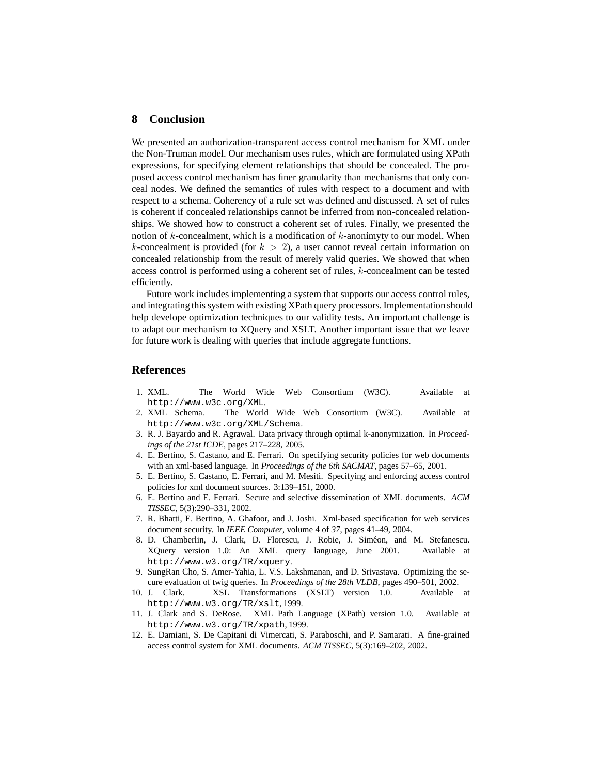### **8 Conclusion**

We presented an authorization-transparent access control mechanism for XML under the Non-Truman model. Our mechanism uses rules, which are formulated using XPath expressions, for specifying element relationships that should be concealed. The proposed access control mechanism has finer granularity than mechanisms that only conceal nodes. We defined the semantics of rules with respect to a document and with respect to a schema. Coherency of a rule set was defined and discussed. A set of rules is coherent if concealed relationships cannot be inferred from non-concealed relationships. We showed how to construct a coherent set of rules. Finally, we presented the notion of  $k$ -concealment, which is a modification of  $k$ -anonimyty to our model. When k-concealment is provided (for  $k > 2$ ), a user cannot reveal certain information on concealed relationship from the result of merely valid queries. We showed that when access control is performed using a coherent set of rules, k-concealment can be tested efficiently.

Future work includes implementing a system that supports our access control rules, and integrating this system with existing XPath query processors. Implementation should help develope optimization techniques to our validity tests. An important challenge is to adapt our mechanism to XQuery and XSLT. Another important issue that we leave for future work is dealing with queries that include aggregate functions.

## **References**

- 1. XML. The World Wide Web Consortium (W3C). Available at http://www.w3c.org/XML.
- 2. XML Schema. The World Wide Web Consortium (W3C). Available at http://www.w3c.org/XML/Schema.
- 3. R. J. Bayardo and R. Agrawal. Data privacy through optimal k-anonymization. In *Proceedings of the 21st ICDE*, pages 217–228, 2005.
- 4. E. Bertino, S. Castano, and E. Ferrari. On specifying security policies for web documents with an xml-based language. In *Proceedings of the 6th SACMAT*, pages 57–65, 2001.
- 5. E. Bertino, S. Castano, E. Ferrari, and M. Mesiti. Specifying and enforcing access control policies for xml document sources. 3:139–151, 2000.
- 6. E. Bertino and E. Ferrari. Secure and selective dissemination of XML documents. *ACM TISSEC*, 5(3):290–331, 2002.
- 7. R. Bhatti, E. Bertino, A. Ghafoor, and J. Joshi. Xml-based specification for web services document security. In *IEEE Computer*, volume 4 of *37*, pages 41–49, 2004.
- 8. D. Chamberlin, J. Clark, D. Florescu, J. Robie, J. Siméon, and M. Stefanescu. XQuery version 1.0: An XML query language, June 2001. Available at http://www.w3.org/TR/xquery.
- 9. SungRan Cho, S. Amer-Yahia, L. V.S. Lakshmanan, and D. Srivastava. Optimizing the secure evaluation of twig queries. In *Proceedings of the 28th VLDB*, pages 490–501, 2002.
- 10. J. Clark. XSL Transformations (XSLT) version 1.0. Available at http://www.w3.org/TR/xslt, 1999.
- 11. J. Clark and S. DeRose. XML Path Language (XPath) version 1.0. Available at http://www.w3.org/TR/xpath, 1999.
- 12. E. Damiani, S. De Capitani di Vimercati, S. Paraboschi, and P. Samarati. A fine-grained access control system for XML documents. *ACM TISSEC*, 5(3):169–202, 2002.